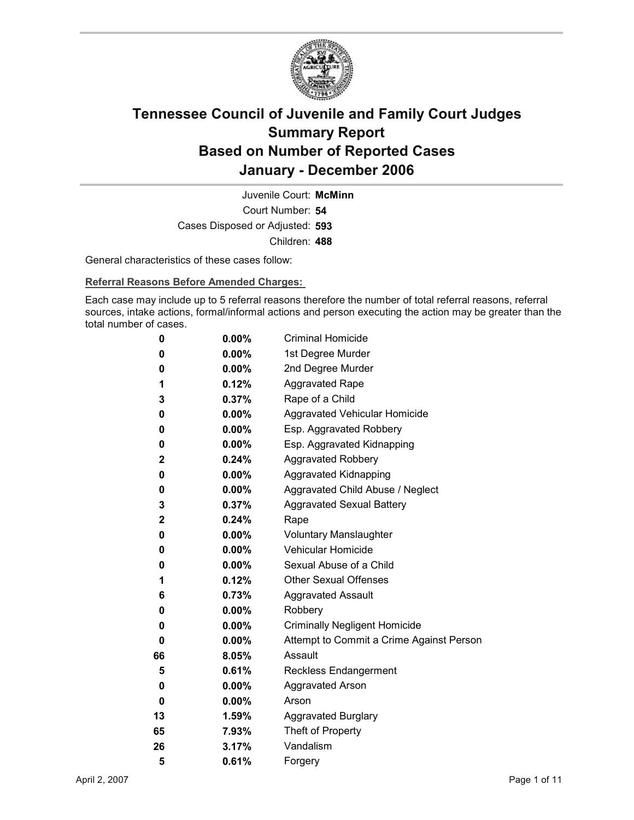

Court Number: **54** Juvenile Court: **McMinn** Cases Disposed or Adjusted: **593** Children: **488**

General characteristics of these cases follow:

**Referral Reasons Before Amended Charges:** 

Each case may include up to 5 referral reasons therefore the number of total referral reasons, referral sources, intake actions, formal/informal actions and person executing the action may be greater than the total number of cases.

| 0            | $0.00\%$ | <b>Criminal Homicide</b>                 |
|--------------|----------|------------------------------------------|
| 0            | $0.00\%$ | 1st Degree Murder                        |
| 0            | $0.00\%$ | 2nd Degree Murder                        |
| 1            | 0.12%    | <b>Aggravated Rape</b>                   |
| 3            | $0.37\%$ | Rape of a Child                          |
| 0            | $0.00\%$ | Aggravated Vehicular Homicide            |
| 0            | $0.00\%$ | Esp. Aggravated Robbery                  |
| 0            | $0.00\%$ | Esp. Aggravated Kidnapping               |
| $\mathbf{2}$ | 0.24%    | <b>Aggravated Robbery</b>                |
| 0            | $0.00\%$ | <b>Aggravated Kidnapping</b>             |
| 0            | $0.00\%$ | Aggravated Child Abuse / Neglect         |
| 3            | 0.37%    | <b>Aggravated Sexual Battery</b>         |
| $\mathbf 2$  | $0.24\%$ | Rape                                     |
| 0            | $0.00\%$ | <b>Voluntary Manslaughter</b>            |
| 0            | $0.00\%$ | <b>Vehicular Homicide</b>                |
| 0            | $0.00\%$ | Sexual Abuse of a Child                  |
| 1            | $0.12\%$ | <b>Other Sexual Offenses</b>             |
| 6            | 0.73%    | <b>Aggravated Assault</b>                |
| 0            | $0.00\%$ | Robbery                                  |
| 0            | $0.00\%$ | <b>Criminally Negligent Homicide</b>     |
| 0            | $0.00\%$ | Attempt to Commit a Crime Against Person |
| 66           | $8.05\%$ | Assault                                  |
| 5            | 0.61%    | <b>Reckless Endangerment</b>             |
| 0            | $0.00\%$ | <b>Aggravated Arson</b>                  |
| 0            | $0.00\%$ | Arson                                    |
| 13           | 1.59%    | <b>Aggravated Burglary</b>               |
| 65           | 7.93%    | Theft of Property                        |
| 26           | 3.17%    | Vandalism                                |
| 5            | 0.61%    | Forgery                                  |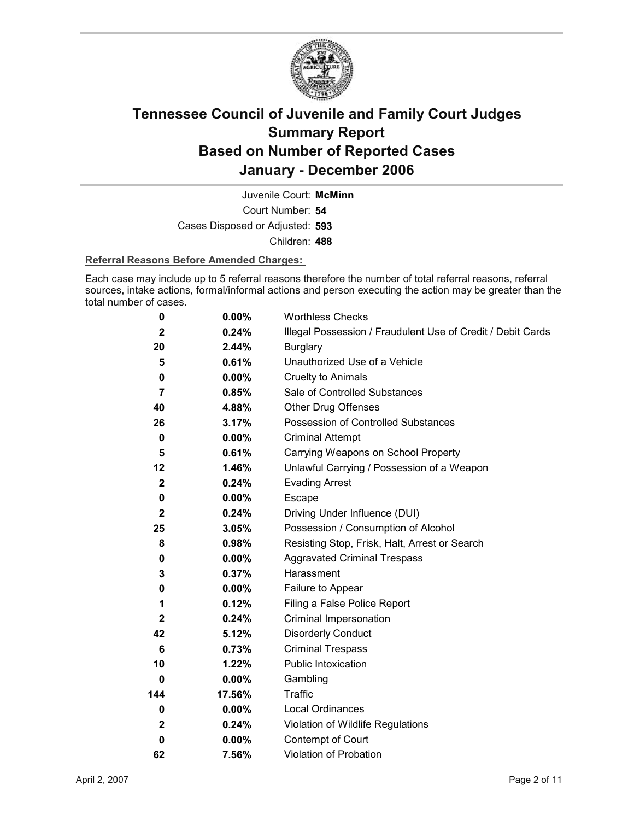

Court Number: **54** Juvenile Court: **McMinn** Cases Disposed or Adjusted: **593** Children: **488**

#### **Referral Reasons Before Amended Charges:**

Each case may include up to 5 referral reasons therefore the number of total referral reasons, referral sources, intake actions, formal/informal actions and person executing the action may be greater than the total number of cases.

| 0            | $0.00\%$ | <b>Worthless Checks</b>                                     |
|--------------|----------|-------------------------------------------------------------|
| $\mathbf{2}$ | 0.24%    | Illegal Possession / Fraudulent Use of Credit / Debit Cards |
| 20           | 2.44%    | <b>Burglary</b>                                             |
| 5            | 0.61%    | Unauthorized Use of a Vehicle                               |
| 0            | $0.00\%$ | <b>Cruelty to Animals</b>                                   |
| 7            | 0.85%    | Sale of Controlled Substances                               |
| 40           | 4.88%    | <b>Other Drug Offenses</b>                                  |
| 26           | 3.17%    | Possession of Controlled Substances                         |
| 0            | $0.00\%$ | <b>Criminal Attempt</b>                                     |
| 5            | 0.61%    | Carrying Weapons on School Property                         |
| 12           | 1.46%    | Unlawful Carrying / Possession of a Weapon                  |
| $\mathbf{2}$ | 0.24%    | <b>Evading Arrest</b>                                       |
| 0            | $0.00\%$ | Escape                                                      |
| $\mathbf{2}$ | 0.24%    | Driving Under Influence (DUI)                               |
| 25           | 3.05%    | Possession / Consumption of Alcohol                         |
| 8            | 0.98%    | Resisting Stop, Frisk, Halt, Arrest or Search               |
| 0            | $0.00\%$ | <b>Aggravated Criminal Trespass</b>                         |
| 3            | 0.37%    | Harassment                                                  |
| 0            | $0.00\%$ | Failure to Appear                                           |
| 1            | 0.12%    | Filing a False Police Report                                |
| $\mathbf{2}$ | 0.24%    | Criminal Impersonation                                      |
| 42           | 5.12%    | <b>Disorderly Conduct</b>                                   |
| 6            | 0.73%    | <b>Criminal Trespass</b>                                    |
| 10           | 1.22%    | Public Intoxication                                         |
| 0            | $0.00\%$ | Gambling                                                    |
| 144          | 17.56%   | <b>Traffic</b>                                              |
| $\bf{0}$     | $0.00\%$ | <b>Local Ordinances</b>                                     |
| $\mathbf{2}$ | 0.24%    | Violation of Wildlife Regulations                           |
| $\bf{0}$     | $0.00\%$ | Contempt of Court                                           |
| 62           | 7.56%    | <b>Violation of Probation</b>                               |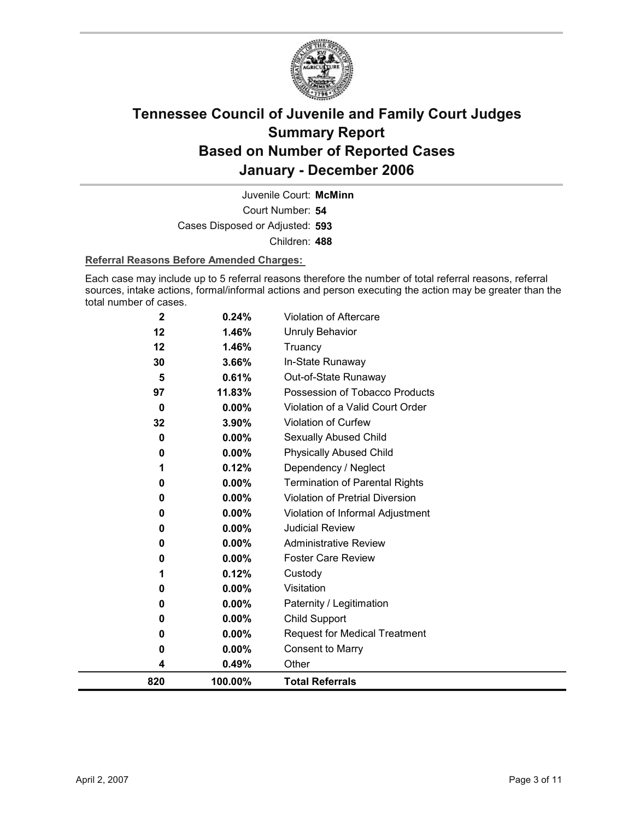

Court Number: **54** Juvenile Court: **McMinn** Cases Disposed or Adjusted: **593** Children: **488**

#### **Referral Reasons Before Amended Charges:**

Each case may include up to 5 referral reasons therefore the number of total referral reasons, referral sources, intake actions, formal/informal actions and person executing the action may be greater than the total number of cases.

| 0<br>0      | $0.00\%$<br>0.00% | <b>Request for Medical Treatment</b><br><b>Consent to Marry</b> |
|-------------|-------------------|-----------------------------------------------------------------|
| 0           | $0.00\%$          | <b>Child Support</b>                                            |
| 0           | 0.00%             | Paternity / Legitimation                                        |
| 0           | 0.00%             | Visitation                                                      |
| 1           | 0.12%             | Custody                                                         |
| 0           | $0.00\%$          | <b>Foster Care Review</b>                                       |
| 0           | 0.00%             | <b>Administrative Review</b>                                    |
| 0           | 0.00%             | <b>Judicial Review</b>                                          |
| 0           | 0.00%             | Violation of Informal Adjustment                                |
| 0           | 0.00%             | <b>Violation of Pretrial Diversion</b>                          |
| 0           | 0.00%             | <b>Termination of Parental Rights</b>                           |
|             | 0.12%             | Dependency / Neglect                                            |
| 0           | $0.00\%$          | <b>Physically Abused Child</b>                                  |
| 0           | 0.00%             | Sexually Abused Child                                           |
| 32          | 3.90%             | Violation of Curfew                                             |
| 0           | $0.00\%$          | Violation of a Valid Court Order                                |
| 5<br>97     | 0.61%<br>11.83%   | Out-of-State Runaway<br>Possession of Tobacco Products          |
| 30          | 3.66%             | In-State Runaway                                                |
| 12          | 1.46%             | Truancy                                                         |
| 12          | 1.46%             | <b>Unruly Behavior</b>                                          |
| $\mathbf 2$ | 0.24%             | <b>Violation of Aftercare</b>                                   |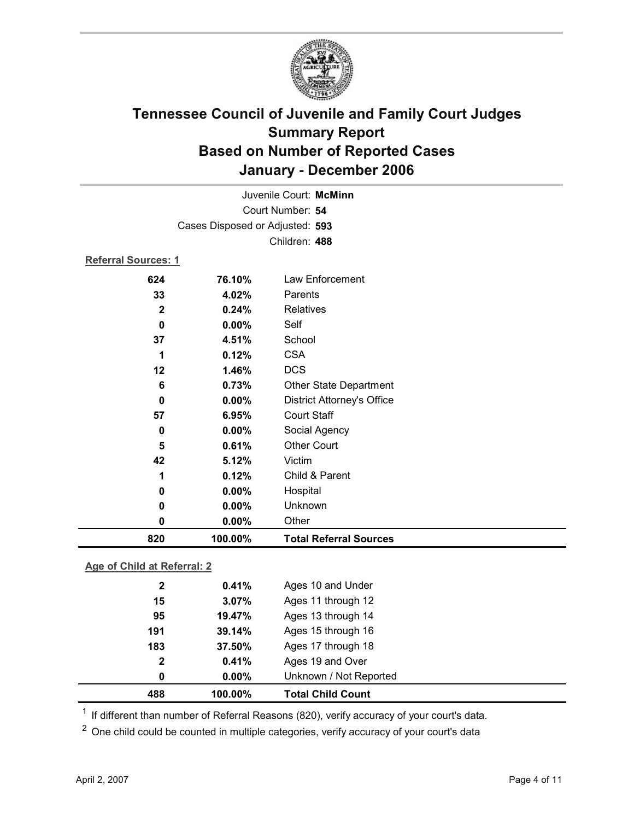

|                            | Juvenile Court: McMinn          |                                   |  |
|----------------------------|---------------------------------|-----------------------------------|--|
|                            | Court Number: 54                |                                   |  |
|                            | Cases Disposed or Adjusted: 593 |                                   |  |
|                            |                                 | Children: 488                     |  |
| <b>Referral Sources: 1</b> |                                 |                                   |  |
| 624                        | 76.10%                          | Law Enforcement                   |  |
| 33                         | 4.02%                           | Parents                           |  |
| $\mathbf{2}$               | 0.24%                           | <b>Relatives</b>                  |  |
| $\mathbf 0$                | 0.00%                           | Self                              |  |
| 37                         | 4.51%                           | School                            |  |
| 1                          | 0.12%                           | <b>CSA</b>                        |  |
| 12                         | 1.46%                           | <b>DCS</b>                        |  |
| 6                          | 0.73%                           | <b>Other State Department</b>     |  |
| $\bf{0}$                   | 0.00%                           | <b>District Attorney's Office</b> |  |
| 57                         | 6.95%                           | <b>Court Staff</b>                |  |
| 0                          | 0.00%                           | Social Agency                     |  |
| 5                          | 0.61%                           | <b>Other Court</b>                |  |
| 42                         | 5.12%                           | Victim                            |  |
| 1                          | 0.12%                           | Child & Parent                    |  |
| $\bf{0}$                   | 0.00%                           | Hospital                          |  |
| 0                          | 0.00%                           | Unknown                           |  |
| $\mathbf 0$                | 0.00%                           | Other                             |  |
| 820                        | 100.00%                         | <b>Total Referral Sources</b>     |  |
|                            |                                 |                                   |  |

### **Age of Child at Referral: 2**

| 488          | 100.00%  | <b>Total Child Count</b> |
|--------------|----------|--------------------------|
| 0            | $0.00\%$ | Unknown / Not Reported   |
| $\mathbf{2}$ | 0.41%    | Ages 19 and Over         |
| 183          | 37.50%   | Ages 17 through 18       |
| 191          | 39.14%   | Ages 15 through 16       |
| 95           | 19.47%   | Ages 13 through 14       |
| 15           | 3.07%    | Ages 11 through 12       |
| $\mathbf{2}$ | 0.41%    | Ages 10 and Under        |
|              |          |                          |

<sup>1</sup> If different than number of Referral Reasons (820), verify accuracy of your court's data.

<sup>2</sup> One child could be counted in multiple categories, verify accuracy of your court's data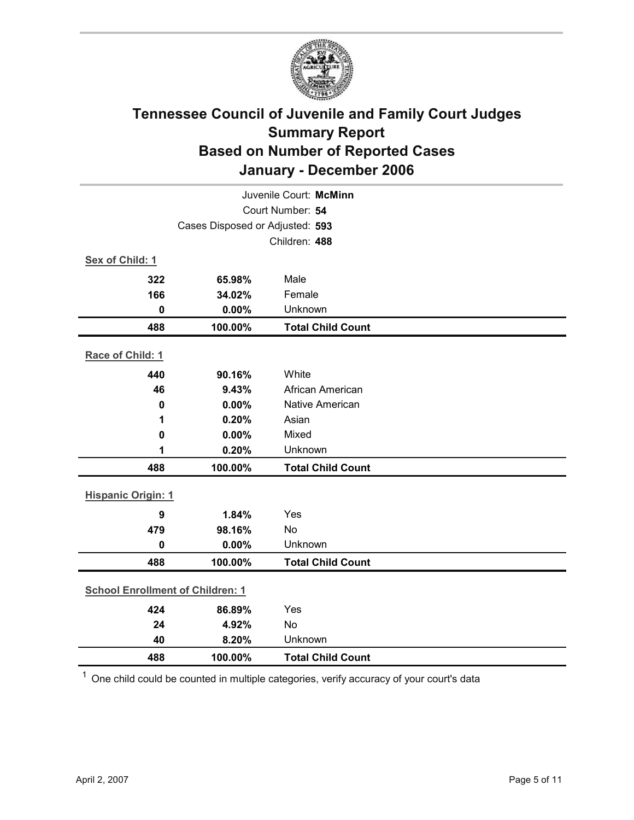

| Juvenile Court: McMinn                  |         |                          |  |
|-----------------------------------------|---------|--------------------------|--|
| Court Number: 54                        |         |                          |  |
| Cases Disposed or Adjusted: 593         |         |                          |  |
|                                         |         | Children: 488            |  |
| Sex of Child: 1                         |         |                          |  |
| 322                                     | 65.98%  | Male                     |  |
| 166                                     | 34.02%  | Female                   |  |
| $\mathbf 0$                             | 0.00%   | Unknown                  |  |
| 488                                     | 100.00% | <b>Total Child Count</b> |  |
| Race of Child: 1                        |         |                          |  |
| 440                                     | 90.16%  | White                    |  |
| 46                                      | 9.43%   | African American         |  |
| $\mathbf 0$                             | 0.00%   | <b>Native American</b>   |  |
| 1                                       | 0.20%   | Asian                    |  |
| $\mathbf 0$                             | 0.00%   | Mixed                    |  |
| 1                                       | 0.20%   | Unknown                  |  |
| 488                                     | 100.00% | <b>Total Child Count</b> |  |
| <b>Hispanic Origin: 1</b>               |         |                          |  |
| 9                                       | 1.84%   | Yes                      |  |
| 479                                     | 98.16%  | No                       |  |
| $\mathbf 0$                             | 0.00%   | Unknown                  |  |
| 488                                     | 100.00% | <b>Total Child Count</b> |  |
| <b>School Enrollment of Children: 1</b> |         |                          |  |
| 424                                     | 86.89%  | Yes                      |  |
| 24                                      | 4.92%   | No                       |  |
| 40                                      | 8.20%   | Unknown                  |  |
| 488                                     | 100.00% | <b>Total Child Count</b> |  |

 $1$  One child could be counted in multiple categories, verify accuracy of your court's data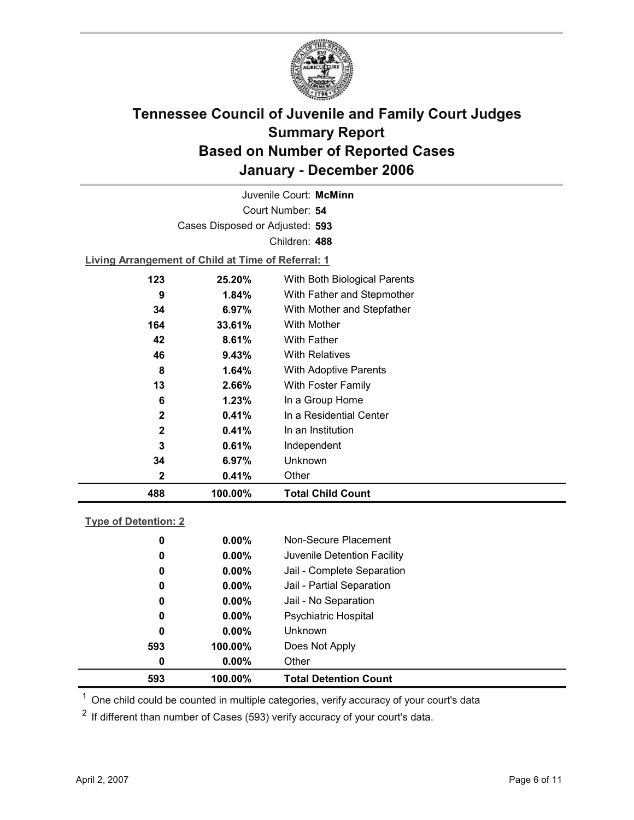

Court Number: **54** Juvenile Court: **McMinn** Cases Disposed or Adjusted: **593** Children: **488**

**Living Arrangement of Child at Time of Referral: 1**

| 488          | 100.00%  | <b>Total Child Count</b>     |
|--------------|----------|------------------------------|
| $\mathbf{2}$ | 0.41%    | Other                        |
| 34           | 6.97%    | Unknown                      |
| 3            | 0.61%    | Independent                  |
| $\mathbf{2}$ | 0.41%    | In an Institution            |
| $\mathbf{2}$ | 0.41%    | In a Residential Center      |
| 6            | 1.23%    | In a Group Home              |
| 13           | 2.66%    | With Foster Family           |
| 8            | 1.64%    | <b>With Adoptive Parents</b> |
| 46           | $9.43\%$ | <b>With Relatives</b>        |
| 42           | 8.61%    | <b>With Father</b>           |
| 164          | 33.61%   | With Mother                  |
| 34           | $6.97\%$ | With Mother and Stepfather   |
| 9            | $1.84\%$ | With Father and Stepmother   |
| 123          | 25.20%   | With Both Biological Parents |
|              |          |                              |

### **Type of Detention: 2**

| 593 | 100.00%  | <b>Total Detention Count</b> |  |
|-----|----------|------------------------------|--|
| 0   | $0.00\%$ | Other                        |  |
| 593 | 100.00%  | Does Not Apply               |  |
| 0   | $0.00\%$ | <b>Unknown</b>               |  |
| 0   | $0.00\%$ | <b>Psychiatric Hospital</b>  |  |
| 0   | $0.00\%$ | Jail - No Separation         |  |
| 0   | $0.00\%$ | Jail - Partial Separation    |  |
| 0   | $0.00\%$ | Jail - Complete Separation   |  |
| 0   | $0.00\%$ | Juvenile Detention Facility  |  |
| 0   | $0.00\%$ | Non-Secure Placement         |  |
|     |          |                              |  |

 $<sup>1</sup>$  One child could be counted in multiple categories, verify accuracy of your court's data</sup>

 $2$  If different than number of Cases (593) verify accuracy of your court's data.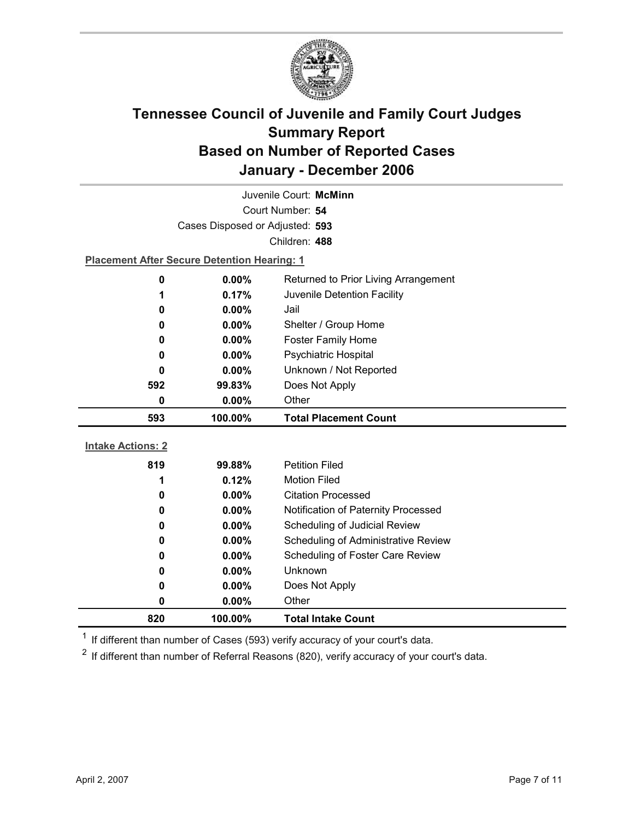

| Juvenile Court: McMinn                                                     |                                                    |                                            |  |  |  |
|----------------------------------------------------------------------------|----------------------------------------------------|--------------------------------------------|--|--|--|
|                                                                            | Court Number: 54                                   |                                            |  |  |  |
|                                                                            | Cases Disposed or Adjusted: 593                    |                                            |  |  |  |
|                                                                            |                                                    | Children: 488                              |  |  |  |
|                                                                            | <b>Placement After Secure Detention Hearing: 1</b> |                                            |  |  |  |
| 0                                                                          | $0.00\%$                                           | Returned to Prior Living Arrangement       |  |  |  |
| 1                                                                          | 0.17%<br>Juvenile Detention Facility               |                                            |  |  |  |
| 0                                                                          | 0.00%<br>Jail                                      |                                            |  |  |  |
| Shelter / Group Home<br>0.00%<br>0                                         |                                                    |                                            |  |  |  |
| 0                                                                          | $0.00\%$                                           | <b>Foster Family Home</b>                  |  |  |  |
| Psychiatric Hospital<br>0.00%<br>0                                         |                                                    |                                            |  |  |  |
| Unknown / Not Reported<br>$0.00\%$<br>0<br>Does Not Apply<br>592<br>99.83% |                                                    |                                            |  |  |  |
|                                                                            |                                                    |                                            |  |  |  |
| Other<br>$\bf{0}$<br>$0.00\%$                                              |                                                    |                                            |  |  |  |
|                                                                            |                                                    |                                            |  |  |  |
| 593                                                                        | 100.00%                                            | <b>Total Placement Count</b>               |  |  |  |
|                                                                            |                                                    |                                            |  |  |  |
| <b>Intake Actions: 2</b>                                                   |                                                    |                                            |  |  |  |
| 819                                                                        | 99.88%                                             | <b>Petition Filed</b>                      |  |  |  |
| 1                                                                          | 0.12%                                              | <b>Motion Filed</b>                        |  |  |  |
| 0                                                                          | $0.00\%$                                           | <b>Citation Processed</b>                  |  |  |  |
| 0                                                                          | 0.00%                                              | Notification of Paternity Processed        |  |  |  |
| 0                                                                          | 0.00%                                              | Scheduling of Judicial Review              |  |  |  |
| 0                                                                          | $0.00\%$                                           | <b>Scheduling of Administrative Review</b> |  |  |  |
| 0                                                                          | $0.00\%$                                           | Scheduling of Foster Care Review           |  |  |  |
| $\bf{0}$                                                                   | 0.00%                                              | Unknown                                    |  |  |  |
| 0<br>0                                                                     | 0.00%<br>$0.00\%$                                  | Does Not Apply<br>Other                    |  |  |  |

 $1$  If different than number of Cases (593) verify accuracy of your court's data.

 $2$  If different than number of Referral Reasons (820), verify accuracy of your court's data.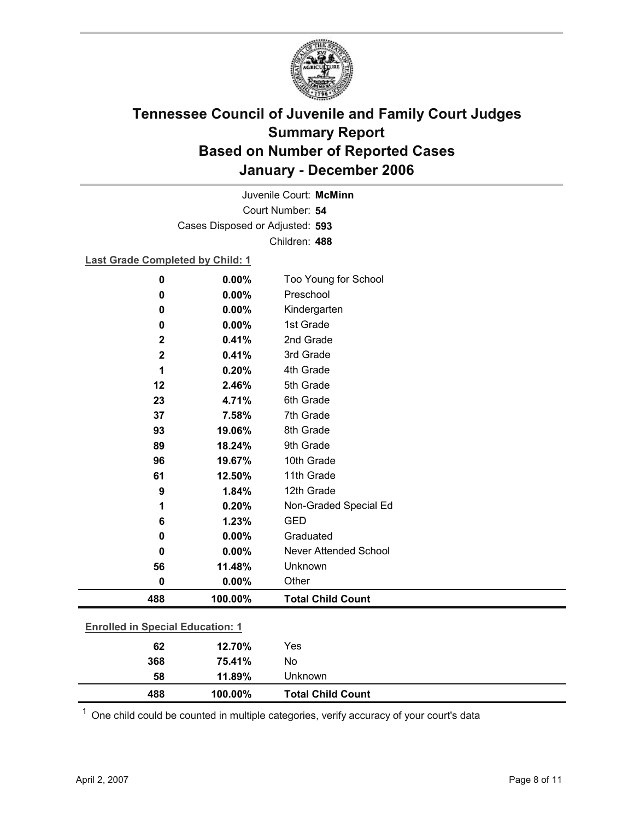

Court Number: **54** Juvenile Court: **McMinn** Cases Disposed or Adjusted: **593** Children: **488**

### **Last Grade Completed by Child: 1**

| $\bf{0}$                                | 0.00%   | Too Young for School         |
|-----------------------------------------|---------|------------------------------|
| 0                                       | 0.00%   | Preschool                    |
| 0                                       | 0.00%   | Kindergarten                 |
| 0                                       | 0.00%   | 1st Grade                    |
| $\mathbf 2$                             | 0.41%   | 2nd Grade                    |
| $\mathbf 2$                             | 0.41%   | 3rd Grade                    |
| 1                                       | 0.20%   | 4th Grade                    |
| 12                                      | 2.46%   | 5th Grade                    |
| 23                                      | 4.71%   | 6th Grade                    |
| 37                                      | 7.58%   | 7th Grade                    |
| 93                                      | 19.06%  | 8th Grade                    |
| 89                                      | 18.24%  | 9th Grade                    |
| 96                                      | 19.67%  | 10th Grade                   |
| 61                                      | 12.50%  | 11th Grade                   |
| 9                                       | 1.84%   | 12th Grade                   |
| 1                                       | 0.20%   | Non-Graded Special Ed        |
| 6                                       | 1.23%   | <b>GED</b>                   |
| 0                                       | 0.00%   | Graduated                    |
| 0                                       | 0.00%   | <b>Never Attended School</b> |
| 56                                      | 11.48%  | Unknown                      |
| $\bf{0}$                                | 0.00%   | Other                        |
| 488                                     | 100.00% | <b>Total Child Count</b>     |
| <b>Enrolled in Special Education: 1</b> |         |                              |
| 62                                      | 12.70%  | Yes                          |
| 368                                     | 75.41%  | No                           |

 $1$  One child could be counted in multiple categories, verify accuracy of your court's data

**58 11.89%** Unknown

**488 100.00% Total Child Count**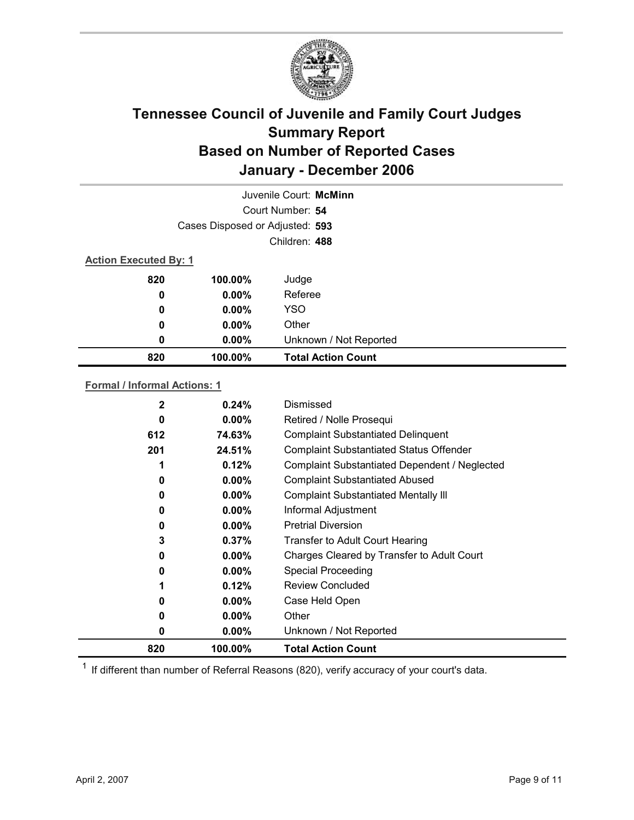

|                                 | Juvenile Court: McMinn       |                           |  |  |  |
|---------------------------------|------------------------------|---------------------------|--|--|--|
|                                 |                              | Court Number: 54          |  |  |  |
| Cases Disposed or Adjusted: 593 |                              |                           |  |  |  |
| Children: 488                   |                              |                           |  |  |  |
|                                 | <b>Action Executed By: 1</b> |                           |  |  |  |
| 820                             | 100.00%                      | Judge                     |  |  |  |
| 0                               | $0.00\%$                     | Referee                   |  |  |  |
| 0                               | $0.00\%$                     | <b>YSO</b>                |  |  |  |
| 0                               | $0.00\%$                     | Other                     |  |  |  |
| 0                               | $0.00\%$                     | Unknown / Not Reported    |  |  |  |
| 820                             | 100.00%                      | <b>Total Action Count</b> |  |  |  |

#### **Formal / Informal Actions: 1**

| 2        | 0.24%    | Dismissed                                      |
|----------|----------|------------------------------------------------|
| 0        | $0.00\%$ | Retired / Nolle Prosequi                       |
| 612      | 74.63%   | <b>Complaint Substantiated Delinquent</b>      |
| 201      | 24.51%   | <b>Complaint Substantiated Status Offender</b> |
|          | 0.12%    | Complaint Substantiated Dependent / Neglected  |
| 0        | $0.00\%$ | <b>Complaint Substantiated Abused</b>          |
| 0        | $0.00\%$ | <b>Complaint Substantiated Mentally III</b>    |
| 0        | $0.00\%$ | Informal Adjustment                            |
| 0        | $0.00\%$ | <b>Pretrial Diversion</b>                      |
| 3        | $0.37\%$ | <b>Transfer to Adult Court Hearing</b>         |
| $\bf{0}$ | $0.00\%$ | Charges Cleared by Transfer to Adult Court     |
| 0        | $0.00\%$ | <b>Special Proceeding</b>                      |
| 1        | 0.12%    | Review Concluded                               |
| 0        | $0.00\%$ | Case Held Open                                 |
| 0        | $0.00\%$ | Other                                          |
| 0        | $0.00\%$ | Unknown / Not Reported                         |
| 820      | 100.00%  | <b>Total Action Count</b>                      |

 $1$  If different than number of Referral Reasons (820), verify accuracy of your court's data.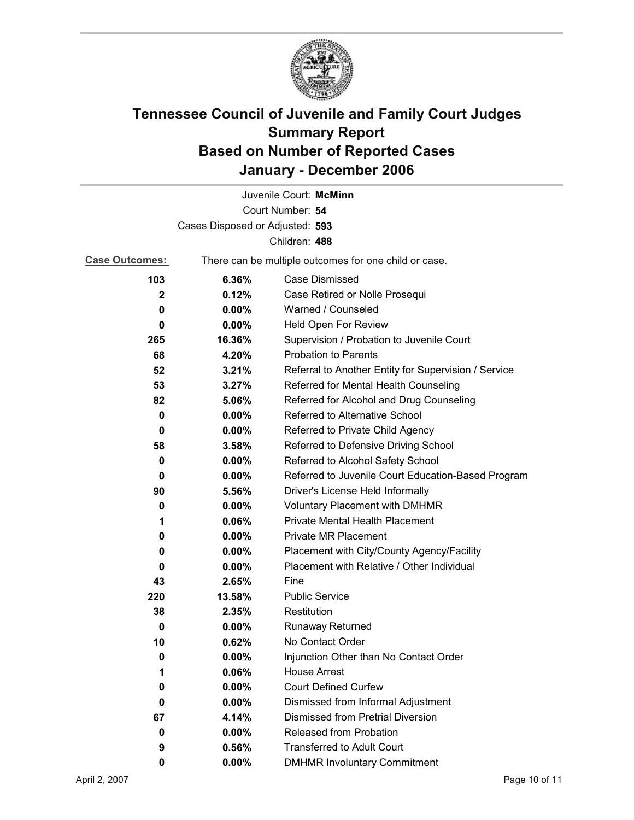

|                                 |                                                       | Juvenile Court: McMinn                               |
|---------------------------------|-------------------------------------------------------|------------------------------------------------------|
|                                 |                                                       | Court Number: 54                                     |
| Cases Disposed or Adjusted: 593 |                                                       |                                                      |
|                                 |                                                       | Children: 488                                        |
| <b>Case Outcomes:</b>           | There can be multiple outcomes for one child or case. |                                                      |
| 103                             | 6.36%                                                 | Case Dismissed                                       |
| $\mathbf{2}$                    | 0.12%                                                 | Case Retired or Nolle Prosequi                       |
| 0                               | 0.00%                                                 | Warned / Counseled                                   |
| 0                               | $0.00\%$                                              | Held Open For Review                                 |
| 265                             | 16.36%                                                | Supervision / Probation to Juvenile Court            |
| 68                              | 4.20%                                                 | <b>Probation to Parents</b>                          |
| 52                              | 3.21%                                                 | Referral to Another Entity for Supervision / Service |
| 53                              | 3.27%                                                 | Referred for Mental Health Counseling                |
| 82                              | 5.06%                                                 | Referred for Alcohol and Drug Counseling             |
| 0                               | 0.00%                                                 | Referred to Alternative School                       |
| 0                               | $0.00\%$                                              | Referred to Private Child Agency                     |
| 58                              | 3.58%                                                 | Referred to Defensive Driving School                 |
| 0                               | $0.00\%$                                              | Referred to Alcohol Safety School                    |
| 0                               | 0.00%                                                 | Referred to Juvenile Court Education-Based Program   |
| 90                              | 5.56%                                                 | Driver's License Held Informally                     |
| 0                               | $0.00\%$                                              | <b>Voluntary Placement with DMHMR</b>                |
| 1                               | 0.06%                                                 | <b>Private Mental Health Placement</b>               |
| 0                               | $0.00\%$                                              | <b>Private MR Placement</b>                          |
| 0                               | $0.00\%$                                              | Placement with City/County Agency/Facility           |
| 0                               | $0.00\%$                                              | Placement with Relative / Other Individual           |
| 43                              | 2.65%                                                 | Fine                                                 |
| 220                             | 13.58%                                                | <b>Public Service</b>                                |
| 38                              | 2.35%                                                 | Restitution                                          |
| 0                               | $0.00\%$                                              | Runaway Returned                                     |
| 10                              | 0.62%                                                 | No Contact Order                                     |
| 0                               | $0.00\%$                                              | Injunction Other than No Contact Order               |
| 1                               | 0.06%                                                 | <b>House Arrest</b>                                  |
| 0                               | $0.00\%$                                              | <b>Court Defined Curfew</b>                          |
| 0                               | 0.00%                                                 | Dismissed from Informal Adjustment                   |
| 67                              | 4.14%                                                 | <b>Dismissed from Pretrial Diversion</b>             |
| 0                               | $0.00\%$                                              | Released from Probation                              |
| 9                               | 0.56%                                                 | <b>Transferred to Adult Court</b>                    |
| 0                               | 0.00%                                                 | <b>DMHMR Involuntary Commitment</b>                  |